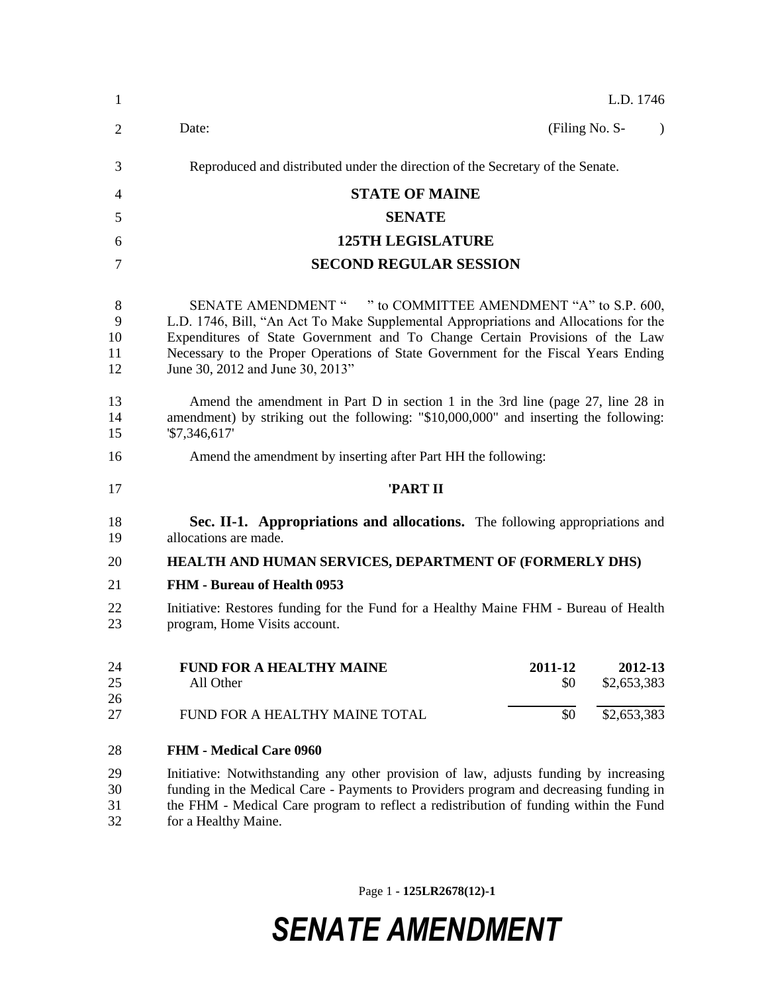| $\mathbf{1}$             | L.D. 1746                                                                                                                                                                                                                                                                                                                                                      |  |  |  |  |
|--------------------------|----------------------------------------------------------------------------------------------------------------------------------------------------------------------------------------------------------------------------------------------------------------------------------------------------------------------------------------------------------------|--|--|--|--|
| 2                        | Date:<br>(Filing No. S-<br>$\lambda$                                                                                                                                                                                                                                                                                                                           |  |  |  |  |
| 3                        | Reproduced and distributed under the direction of the Secretary of the Senate.                                                                                                                                                                                                                                                                                 |  |  |  |  |
| 4                        | <b>STATE OF MAINE</b>                                                                                                                                                                                                                                                                                                                                          |  |  |  |  |
| 5                        | <b>SENATE</b>                                                                                                                                                                                                                                                                                                                                                  |  |  |  |  |
| 6                        | <b>125TH LEGISLATURE</b>                                                                                                                                                                                                                                                                                                                                       |  |  |  |  |
| 7                        | <b>SECOND REGULAR SESSION</b>                                                                                                                                                                                                                                                                                                                                  |  |  |  |  |
| 8<br>9<br>10<br>11<br>12 | SENATE AMENDMENT " " to COMMITTEE AMENDMENT "A" to S.P. 600,<br>L.D. 1746, Bill, "An Act To Make Supplemental Appropriations and Allocations for the<br>Expenditures of State Government and To Change Certain Provisions of the Law<br>Necessary to the Proper Operations of State Government for the Fiscal Years Ending<br>June 30, 2012 and June 30, 2013" |  |  |  |  |
| 13<br>14<br>15           | Amend the amendment in Part D in section 1 in the 3rd line (page 27, line 28 in<br>amendment) by striking out the following: "\$10,000,000" and inserting the following:<br>$\$7,346,617$                                                                                                                                                                      |  |  |  |  |
| 16                       | Amend the amendment by inserting after Part HH the following:                                                                                                                                                                                                                                                                                                  |  |  |  |  |
| 17                       | 'PART II                                                                                                                                                                                                                                                                                                                                                       |  |  |  |  |
| 18<br>19                 | Sec. II-1. Appropriations and allocations. The following appropriations and<br>allocations are made.                                                                                                                                                                                                                                                           |  |  |  |  |
| 20                       | HEALTH AND HUMAN SERVICES, DEPARTMENT OF (FORMERLY DHS)                                                                                                                                                                                                                                                                                                        |  |  |  |  |
| 21                       | FHM - Bureau of Health 0953                                                                                                                                                                                                                                                                                                                                    |  |  |  |  |
| 22<br>23                 | Initiative: Restores funding for the Fund for a Healthy Maine FHM - Bureau of Health<br>program, Home Visits account.                                                                                                                                                                                                                                          |  |  |  |  |
| 24<br>25<br>26           | 2011-12<br><b>FUND FOR A HEALTHY MAINE</b><br>2012-13<br>All Other<br>\$2,653,383<br>\$0                                                                                                                                                                                                                                                                       |  |  |  |  |
| 27                       | \$2,653,383<br>\$0<br>FUND FOR A HEALTHY MAINE TOTAL                                                                                                                                                                                                                                                                                                           |  |  |  |  |
| 28                       | <b>FHM - Medical Care 0960</b>                                                                                                                                                                                                                                                                                                                                 |  |  |  |  |
| 29<br>30<br>31<br>32     | Initiative: Notwithstanding any other provision of law, adjusts funding by increasing<br>funding in the Medical Care - Payments to Providers program and decreasing funding in<br>the FHM - Medical Care program to reflect a redistribution of funding within the Fund<br>for a Healthy Maine.                                                                |  |  |  |  |

Page 1 **- 125LR2678(12)-1**

## *SENATE AMENDMENT*